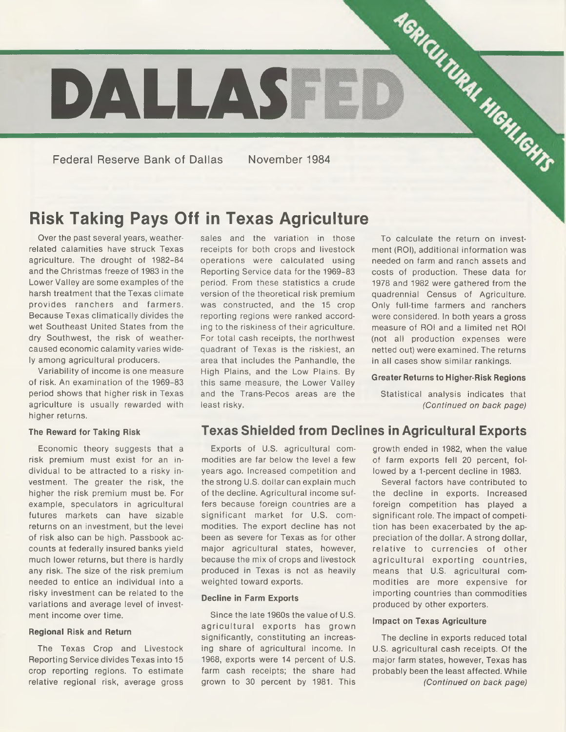

Federal Reserve Bank of Dallas November 1984

# **Risk Taking Pays Off in Texas Agriculture**

Over the past several years, weatherrelated calamities have struck Texas agriculture. The drought of 1982-84 and the Christmas freeze of 1983 in the Lower Valley are some examples of the harsh treatment that the Texas climate provides ranchers and farmers. Because Texas climatically divides the wet Southeast United States from the dry Southwest, the risk of weathercaused economic calamity varies widely among agricultural producers.

Variability of income is one measure of risk. An examination of the 1969-83 period shows that higher risk in Texas agriculture is usually rewarded with higher returns.

#### **The Reward for Taking Risk**

Economic theory suggests that a risk premium must exist for an individual to be attracted to a risky investment. The greater the risk, the higher the risk premium must be. For example, speculators in agricultural futures markets can have sizable returns on an investment, but the level of risk also can be high. Passbook accounts at federally insured banks yield much lower returns, but there is hardly any risk. The size of the risk premium needed to entice an individual into a risky investment can be related to the variations and average level of investment income over time.

#### **Regional Risk and Return**

The Texas Crop and Livestock Reporting Service divides Texas into 15 crop reporting regions. To estimate relative regional risk, average gross

sales and the variation in those receipts for both crops and livestock operations were calculated using Reporting Service data for the 1969-83 period. From these statistics a crude version of the theoretical risk premium was constructed, and the 15 crop reporting regions were ranked according to the riskiness of their agriculture. For total cash receipts, the northwest quadrant of Texas is the riskiest, an area that includes the Panhandle, the High Plains, and the Low Plains. By this same measure, the Lower Valley and the Trans-Pecos areas are the least risky.

To calculate the return on investment (ROI), additional information was needed on farm and ranch assets and costs of production. These data for 1978 and 1982 were gathered from the quadrennial Census of Agriculture. Only full-time farmers and ranchers were considered. In both years a gross measure of ROI and a limited net ROI (not all production expenses were netted out) were examined. The returns in all cases show similar rankings.

#### **Greater Returns to Higher-Risk Regions**

Statistical analysis indicates that *(Continued on back page)*

### **Texas Shielded from Declines in Agricultural Exports**

Exports of U.S. agricultural commodities are far below the level a few years ago. Increased competition and the strong U.S. dollar can explain much of the decline. Agricultural income suffers because foreign countries are a significant market for U.S. commodities. The export decline has not been as severe for Texas as for other major agricultural states, however, because the mix of crops and livestock produced in Texas is not as heavily weighted toward exports.

#### **Decline in Farm Exports**

Since the late 1960s the value of U.S. agricultural exports has grown significantly, constituting an increasing share of agricultural income. In 1968, exports were 14 percent of U.S. farm cash receipts; the share had grown to 30 percent by 1981. This growth ended in 1982, when the value of farm exports fell 20 percent, followed by a 1-percent decline in 1983.

Several factors have contributed to the decline in exports. Increased foreign competition has played a significant role. The impact of competition has been exacerbated by the appreciation of the dollar. A strong dollar, relative to currencies of other agricultural exporting countries, means that U.S. agricultural commodities are more expensive for importing countries than commodities produced by other exporters.

#### **Impact on Texas Agriculture**

The decline in exports reduced total U.S. agricultural cash receipts. Of the major farm states, however, Texas has probably been the least affected. While *(Continued on back page)*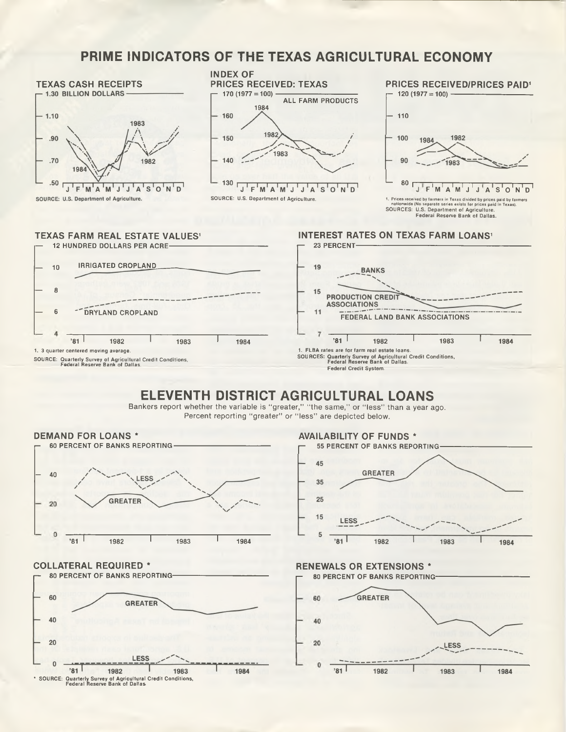## **PRIME INDICATORS OF THE TEXAS AGRICULTURAL ECONOMY**



## **ELEVENTH DISTRICT AGRICULTURAL LOANS**

Bankers report whether the variable is "greater," "the same," or "less" than a year ago. Percent reporting "greater" or "less" are depicted below.

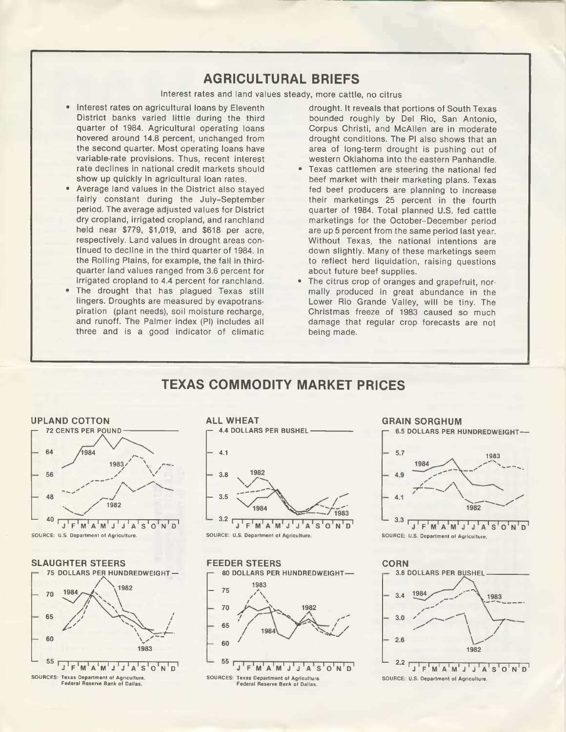## **AGRICULTURAL BRIEFS**

Interest rates and land values steady, more cattle, no citrus

- Interest rates on agricultural loans by Eleventh District banks varied little during the third quarter of 1984. Agricultural operating loans hovered around 14.8 percent, unchanged from the second quarter. Most operating loans have variable-rate provisions. Thus, recent interest rate declines in national credit markets should show up quickly in agricultural loan rates.
- Average land values in the District also stayed fairly constant during the July-September period. The average adjusted values for District dry cropland, irrigated cropland, and ranchland held near \$779, \$1,019, and \$618 per acre, respectively. Land values in drought areas continued to decline in the third quarter of 1984. In the Rolling Plains, for example, the fall in thirdquarter land values ranged from 3.6 percent for irrigated cropland to 4.4 percent for ranchland.
- The drought that has plagued Texas still lingers. Droughts are measured by evapotranspiration (plant needs), soil moisture recharge, and runoff. The Palmer index (PI) includes all three and is a good indicator of climatic

drought. It reveals that portions of South Texas bounded roughly by Del Rio, San Antonio, Corpus Christi, and McAllen are in moderate drought conditions. The PI also shows that an area of long-term drought is pushing out of western Oklahoma into the eastern Panhandle.

- Texas cattlemen are steering the national fed beef market with their marketing plans. Texas fed beef producers are planning to increase their marketings 25 percent in the fourth quarter of 1984. Total planned U.S. fed cattle marketings for the October-December period are up 5 percent from the same period last year. Without Texas, the national intentions are down slightly. Many of these marketings seem to reflect herd liquidation, raising questions about future beef supplies.
- The citrus crop of oranges and grapefruit, normally produced in great abundance in the Lower Rio Grande Valley, will be tiny. The Christmas freeze of 1983 caused so much damage that regular crop forecasts are not being made.

## **TEXAS COMMODITY MARKET PRICES**











#### GRAIN SORGHUM